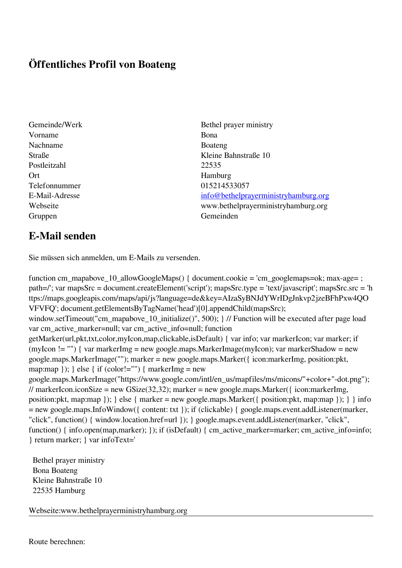## **Öffentliches Profil von Boateng**

- Vorname Bona Nachname Boateng Postleitzahl 22535 Ort Hamburg Telefonnummer 015214533057 Gruppen Gemeinden Gemeinden Gemeinden Gemeinden Gemeinden Gemeinden Gemeinden Gemeinden Gemeinden Gemeinden G
- Gemeinde/Werk Bethel prayer ministry Straße Kleine Bahnstraße 10 E-Mail-Adresse [info@bethelprayerministryhamburg.org](mailto:info@bethelprayerministryhamburg.org) Webseite www.bethelprayerministryhamburg.org

## **E-Mail senden**

Sie müssen sich anmelden, um E-Mails zu versenden.

function cm\_mapabove\_10\_allowGoogleMaps() { document.cookie = 'cm\_googlemaps=ok; max-age= ; path=/'; var mapsSrc = document.createElement('script'); mapsSrc.type = 'text/javascript'; mapsSrc.src = 'h ttps://maps.googleapis.com/maps/api/js?language=de&key=AIzaSyBNJdYWrIDgJnkvp2jzeBFhPxw4QO VFVFQ'; document.getElementsByTagName('head')[0].appendChild(mapsSrc); window.setTimeout("cm\_mapabove\_10\_initialize()", 500); } // Function will be executed after page load var cm\_active\_marker=null; var cm\_active\_info=null; function getMarker(url,pkt,txt,color,myIcon,map,clickable,isDefault) { var info; var markerIcon; var marker; if (myIcon != "") { var markerImg = new google.maps.MarkerImage(myIcon); var markerShadow = new google.maps.MarkerImage(""); marker = new google.maps.Marker({ icon:markerImg, position:pkt, map:map  $\}$ ;  $\}$  else  $\{$  if (color!="")  $\{$  markerImg = new google.maps.MarkerImage("https://www.google.com/intl/en\_us/mapfiles/ms/micons/"+color+"-dot.png"); // markerIcon.iconSize = new GSize(32,32); marker = new google.maps.Marker( $\{$  icon:markerImg, position:pkt, map:map }); } else { marker = new google.maps.Marker({ position:pkt, map:map }); } } info = new google.maps.InfoWindow({ content: txt }); if (clickable) { google.maps.event.addListener(marker, "click", function() { window.location.href=url }); } google.maps.event.addListener(marker, "click", function() { info.open(map,marker); }); if (isDefault) { cm\_active\_marker=marker; cm\_active\_info=info; } return marker; } var infoText='

 Bethel prayer ministry Bona Boateng Kleine Bahnstraße 10 22535 Hamburg

Webseite:www.bethelprayerministryhamburg.org